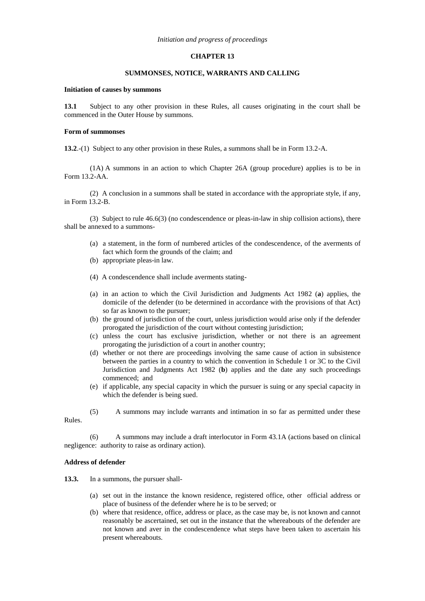### **CHAPTER 13**

## **SUMMONSES, NOTICE, WARRANTS AND CALLING**

# **Initiation of causes by summons**

**13.1** Subject to any other provision in these Rules, all causes originating in the court shall be commenced in the Outer House by summons.

#### **Form of summonses**

**13.2**.-(1) Subject to any other provision in these Rules, a summons shall be in Form 13.2-A.

(1A) A summons in an action to which Chapter 26A (group procedure) applies is to be in Form 13.2-AA.

(2) A conclusion in a summons shall be stated in accordance with the appropriate style, if any, in Form 13.2-B.

(3) Subject to rule 46.6(3) (no condescendence or pleas-in-law in ship collision actions), there shall be annexed to a summons-

- (a) a statement, in the form of numbered articles of the condescendence, of the averments of fact which form the grounds of the claim; and
- (b) appropriate pleas-in law.
- (4) A condescendence shall include averments stating-
- (a) in an action to which the Civil Jurisdiction and Judgments Act 1982 (**a**) applies, the domicile of the defender (to be determined in accordance with the provisions of that Act) so far as known to the pursuer;
- (b) the ground of jurisdiction of the court, unless jurisdiction would arise only if the defender prorogated the jurisdiction of the court without contesting jurisdiction;
- (c) unless the court has exclusive jurisdiction, whether or not there is an agreement prorogating the jurisdiction of a court in another country;
- (d) whether or not there are proceedings involving the same cause of action in subsistence between the parties in a country to which the convention in Schedule 1 or 3C to the Civil Jurisdiction and Judgments Act 1982 (**b**) applies and the date any such proceedings commenced; and
- (e) if applicable, any special capacity in which the pursuer is suing or any special capacity in which the defender is being sued.
- (5) A summons may include warrants and intimation in so far as permitted under these Rules.

(6) A summons may include a draft interlocutor in Form 43.1A (actions based on clinical negligence: authority to raise as ordinary action).

#### **Address of defender**

- **13.3.** In a summons, the pursuer shall-
	- (a) set out in the instance the known residence, registered office, other official address or place of business of the defender where he is to be served; or
	- (b) where that residence, office, address or place, as the case may be, is not known and cannot reasonably be ascertained, set out in the instance that the whereabouts of the defender are not known and aver in the condescendence what steps have been taken to ascertain his present whereabouts.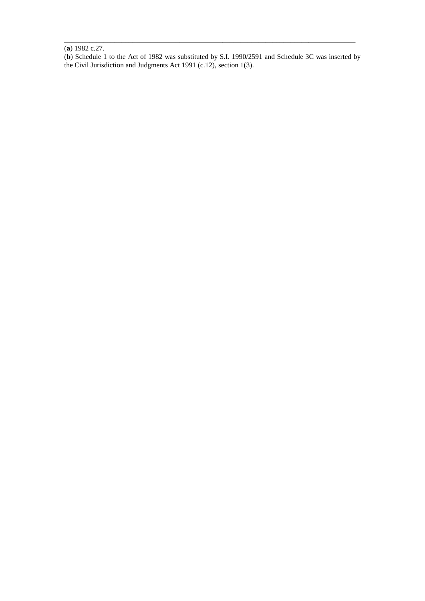(**a**) 1982 c.27.

(**b**) Schedule 1 to the Act of 1982 was substituted by S.I. 1990/2591 and Schedule 3C was inserted by the Civil Jurisdiction and Judgments Act 1991 (c.12), section 1(3).

\_\_\_\_\_\_\_\_\_\_\_\_\_\_\_\_\_\_\_\_\_\_\_\_\_\_\_\_\_\_\_\_\_\_\_\_\_\_\_\_\_\_\_\_\_\_\_\_\_\_\_\_\_\_\_\_\_\_\_\_\_\_\_\_\_\_\_\_\_\_\_\_\_\_\_\_\_\_\_\_\_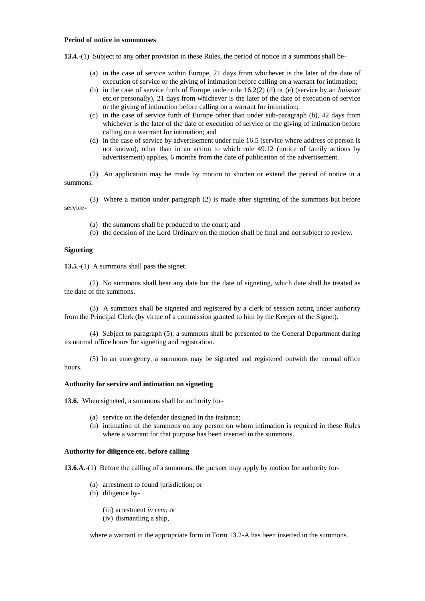### **Period of notice in summonses**

**13.4**.-(1) Subject to any other provision in these Rules, the period of notice in a summons shall be-

- (a) in the case of service within Europe, 21 days from whichever is the later of the date of execution of service or the giving of intimation before calling on a warrant for intimation;
- (b) in the case of service furth of Europe under rule 16.2(2) (d) or (e) (service by an *huissier* etc.or personally), 21 days from whichever is the later of the date of execution of service or the giving of intimation before calling on a warrant for intimation;
- (c) in the case of service furth of Europe other than under sub-paragraph (b), 42 days from whichever is the later of the date of execution of service or the giving of intimation before calling on a warrrant for intimation; and
- (d) in the case of service by advertisement under rule 16.5 (service where address of person is not known), other than in an action to which rule 49.12 (notice of family actions by advertisement) applies, 6 months from the date of publication of the advertisement.

(2) An application may be made by motion to shorten or extend the period of notice in a summons.

(3) Where a motion under paragraph (2) is made after signeting of the summons but before service-

- (a) the summons shall be produced to the court; and
- (b) the decision of the Lord Ordinary on the motion shall be final and not subject to review.

### **Signeting**

**13.5**.-(1) A summons shall pass the signet.

(2) No summons shall bear any date but the date of signeting, which date shall be treated as the date of the summons.

(3) A summons shall be signeted and registered by a clerk of session acting under authority from the Principal Clerk (by virtue of a commission granted to him by the Keeper of the Signet).

(4) Subject to paragraph (5), a summons shall be presented to the General Department during its normal office hours for signeting and registration.

(5) In an emergency, a summons may be signeted and registered outwith the normal office hours.

### **Authority for service and intimation on signeting**

**13.6.** When signeted, a summons shall be authority for-

- (a) service on the defender designed in the instance;
- (b) intimation of the summons on any person on whom intimation is required in these Rules where a warrant for that purpose has been inserted in the summons.

# **Authority for diligence etc. before calling**

**13.6.A.**-(1) Before the calling of a summons, the pursuer may apply by motion for authority for-

- (a) arrestment to found jurisdiction; or
- (b) diligence by-
	- (iii) arrestment *in rem*; or
	- (iv) dismantling a ship,

where a warrant in the appropriate form in Form 13.2-A has been inserted in the summons.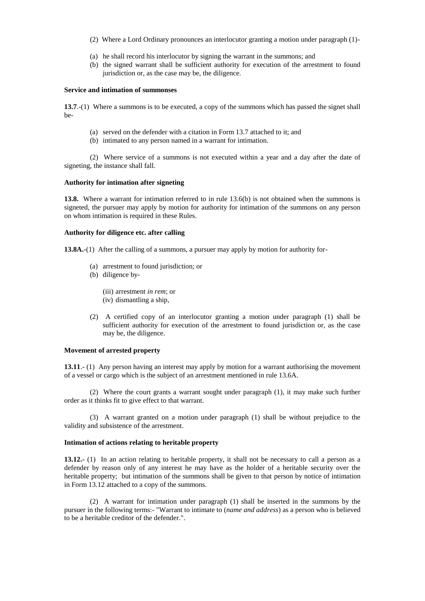- (2) Where a Lord Ordinary pronounces an interlocutor granting a motion under paragraph (1)-
- (a) he shall record his interlocutor by signing the warrant in the summons; and
- (b) the signed warrant shall be sufficient authority for execution of the arrestment to found jurisdiction or, as the case may be, the diligence.

### **Service and intimation of summonses**

**13.7**.-(1) Where a summons is to be executed, a copy of the summons which has passed the signet shall be-

- (a) served on the defender with a citation in Form 13.7 attached to it; and
- (b) intimated to any person named in a warrant for intimation.

(2) Where service of a summons is not executed within a year and a day after the date of signeting, the instance shall fall.

### **Authority for intimation after signeting**

**13.8.** Where a warrant for intimation referred to in rule 13.6(b) is not obtained when the summons is signeted, the pursuer may apply by motion for authority for intimation of the summons on any person on whom intimation is required in these Rules.

## **Authority for diligence etc. after calling**

**13.8A.-**(1) After the calling of a summons, a pursuer may apply by motion for authority for-

- (a) arrestment to found jurisdiction; or
- (b) diligence by-
	- (iii) arrestment *in rem*; or
	- (iv) dismantling a ship,
- (2) A certified copy of an interlocutor granting a motion under paragraph (1) shall be sufficient authority for execution of the arrestment to found jurisdiction or, as the case may be, the diligence.

## **Movement of arrested property**

**13.11**.- (1) Any person having an interest may apply by motion for a warrant authorising the movement of a vessel or cargo which is the subject of an arrestment mentioned in rule 13.6A.

(2) Where the court grants a warrant sought under paragraph (1), it may make such further order as it thinks fit to give effect to that warrant.

(3) A warrant granted on a motion under paragraph (1) shall be without prejudice to the validity and subsistence of the arrestment.

## **Intimation of actions relating to heritable property**

**13.12.-** (1) In an action relating to heritable property, it shall not be necessary to call a person as a defender by reason only of any interest he may have as the holder of a heritable security over the heritable property; but intimation of the summons shall be given to that person by notice of intimation in Form 13.12 attached to a copy of the summons.

(2) A warrant for intimation under paragraph (1) shall be inserted in the summons by the pursuer in the following terms:- "Warrant to intimate to (*name and address*) as a person who is believed to be a heritable creditor of the defender.".